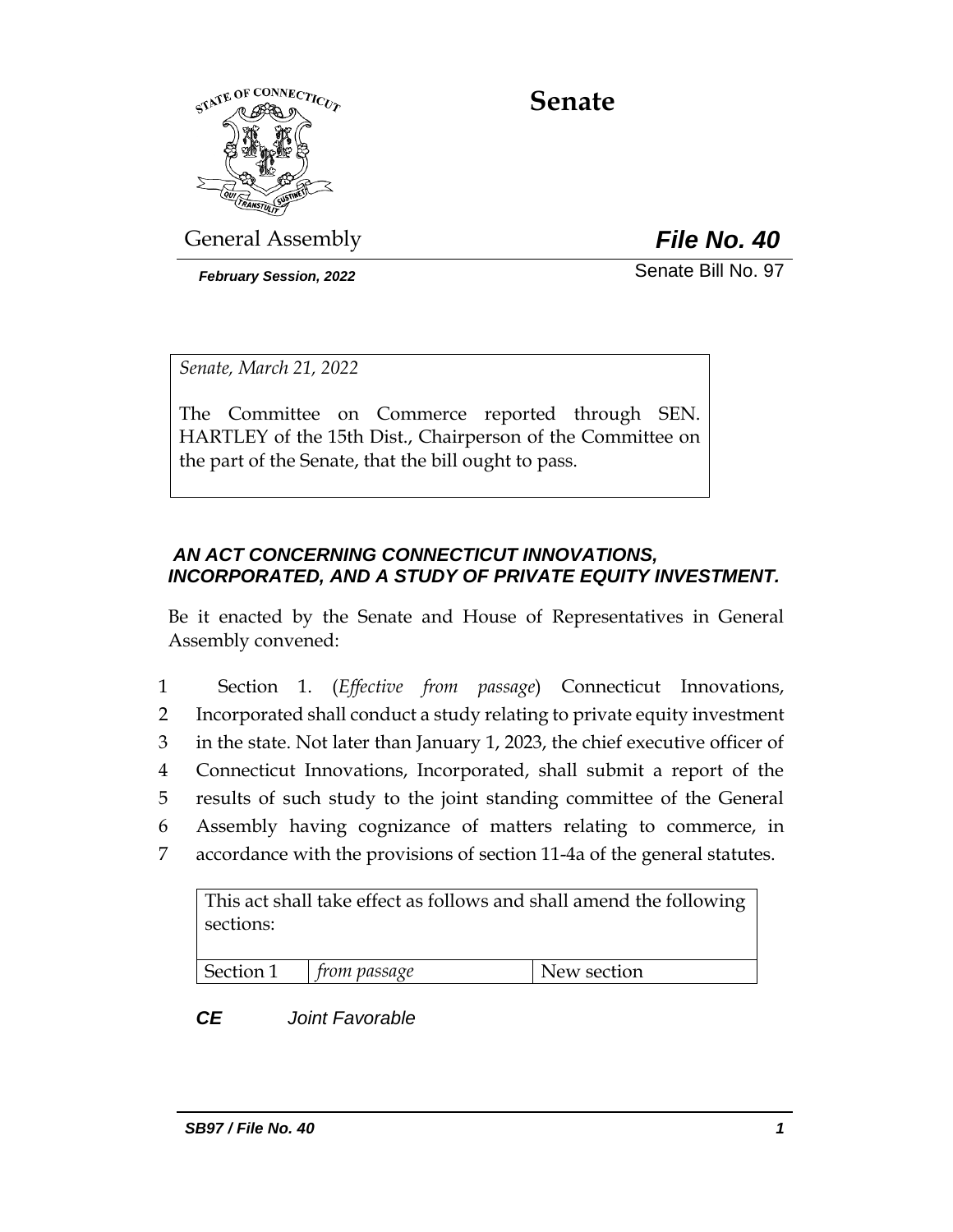

**Senate**

General Assembly *File No. 40*

*February Session, 2022* Senate Bill No. 97

*Senate, March 21, 2022*

The Committee on Commerce reported through SEN. HARTLEY of the 15th Dist., Chairperson of the Committee on the part of the Senate, that the bill ought to pass.

# *AN ACT CONCERNING CONNECTICUT INNOVATIONS, INCORPORATED, AND A STUDY OF PRIVATE EQUITY INVESTMENT.*

Be it enacted by the Senate and House of Representatives in General Assembly convened:

 Section 1. (*Effective from passage*) Connecticut Innovations, Incorporated shall conduct a study relating to private equity investment in the state. Not later than January 1, 2023, the chief executive officer of Connecticut Innovations, Incorporated, shall submit a report of the results of such study to the joint standing committee of the General Assembly having cognizance of matters relating to commerce, in accordance with the provisions of section 11-4a of the general statutes.

This act shall take effect as follows and shall amend the following sections:

Section 1 *from passage* New section

*CE Joint Favorable*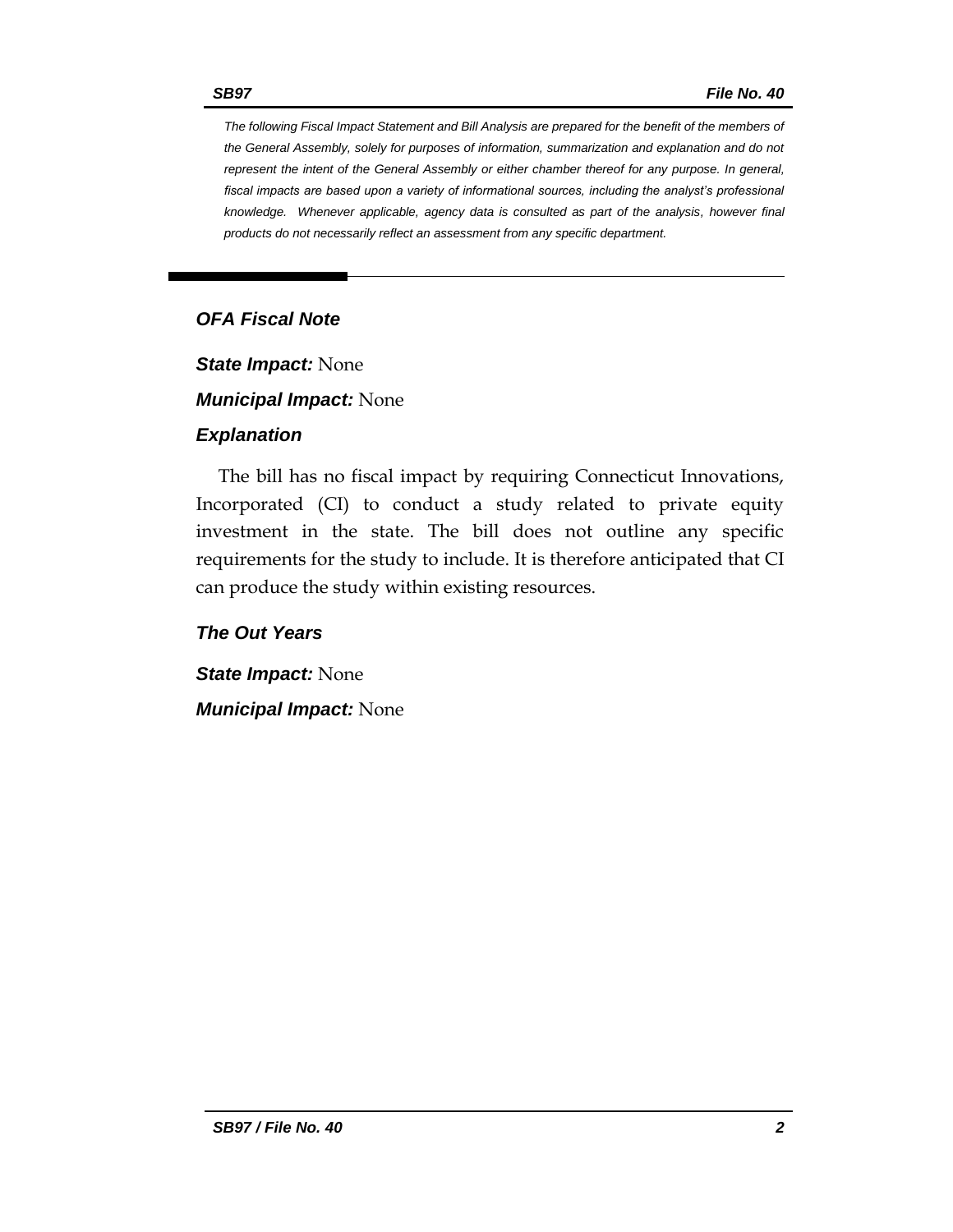*The following Fiscal Impact Statement and Bill Analysis are prepared for the benefit of the members of the General Assembly, solely for purposes of information, summarization and explanation and do not represent the intent of the General Assembly or either chamber thereof for any purpose. In general, fiscal impacts are based upon a variety of informational sources, including the analyst's professional knowledge. Whenever applicable, agency data is consulted as part of the analysis, however final products do not necessarily reflect an assessment from any specific department.*

# *OFA Fiscal Note*

*State Impact:* None

*Municipal Impact:* None

## *Explanation*

The bill has no fiscal impact by requiring Connecticut Innovations, Incorporated (CI) to conduct a study related to private equity investment in the state. The bill does not outline any specific requirements for the study to include. It is therefore anticipated that CI can produce the study within existing resources.

*The Out Years*

*State Impact:* None *Municipal Impact:* None